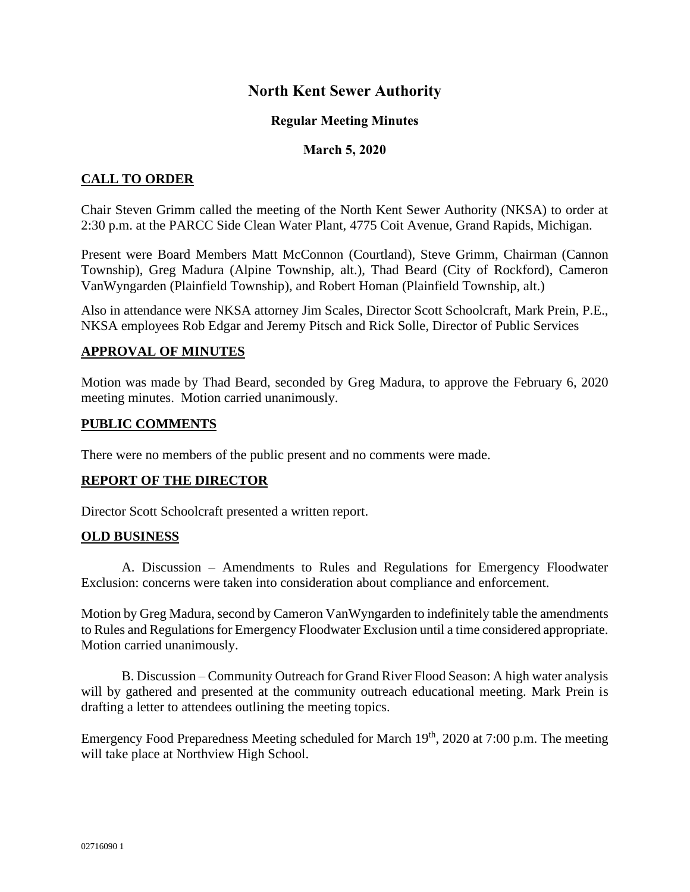# **North Kent Sewer Authority**

## **Regular Meeting Minutes**

## **March 5, 2020**

## **CALL TO ORDER**

Chair Steven Grimm called the meeting of the North Kent Sewer Authority (NKSA) to order at 2:30 p.m. at the PARCC Side Clean Water Plant, 4775 Coit Avenue, Grand Rapids, Michigan.

Present were Board Members Matt McConnon (Courtland), Steve Grimm, Chairman (Cannon Township), Greg Madura (Alpine Township, alt.), Thad Beard (City of Rockford), Cameron VanWyngarden (Plainfield Township), and Robert Homan (Plainfield Township, alt.)

Also in attendance were NKSA attorney Jim Scales, Director Scott Schoolcraft, Mark Prein, P.E., NKSA employees Rob Edgar and Jeremy Pitsch and Rick Solle, Director of Public Services

## **APPROVAL OF MINUTES**

Motion was made by Thad Beard, seconded by Greg Madura, to approve the February 6, 2020 meeting minutes. Motion carried unanimously.

## **PUBLIC COMMENTS**

There were no members of the public present and no comments were made.

## **REPORT OF THE DIRECTOR**

Director Scott Schoolcraft presented a written report.

#### **OLD BUSINESS**

A. Discussion – Amendments to Rules and Regulations for Emergency Floodwater Exclusion: concerns were taken into consideration about compliance and enforcement.

Motion by Greg Madura, second by Cameron VanWyngarden to indefinitely table the amendments to Rules and Regulations for Emergency Floodwater Exclusion until a time considered appropriate. Motion carried unanimously.

B. Discussion – Community Outreach for Grand River Flood Season: A high water analysis will by gathered and presented at the community outreach educational meeting. Mark Prein is drafting a letter to attendees outlining the meeting topics.

Emergency Food Preparedness Meeting scheduled for March  $19<sup>th</sup>$ , 2020 at 7:00 p.m. The meeting will take place at Northview High School.